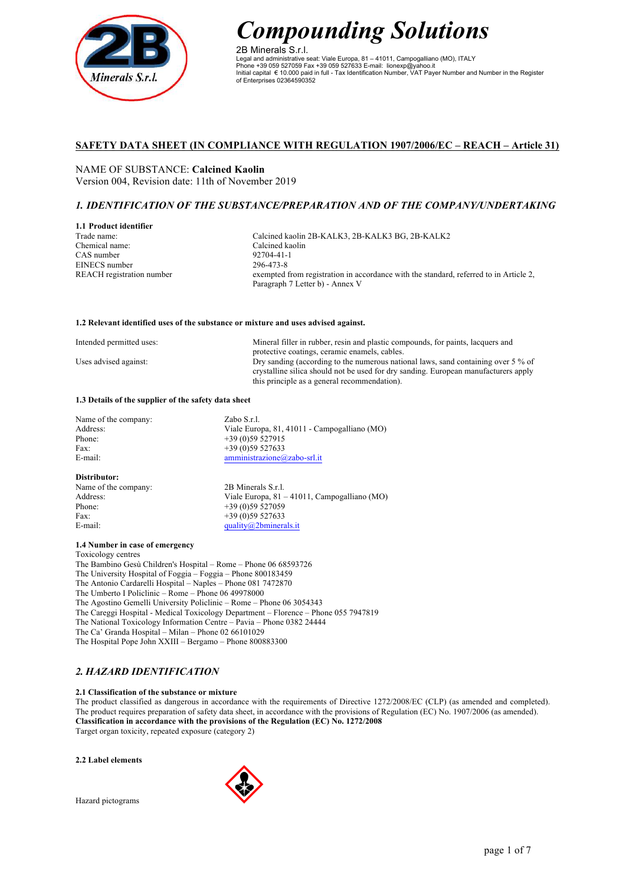

2B Minerals S.r.l. Legal and administrative seat: Viale Europa, 81 – 41011, Campogalliano (MO), ITALY Phone +39 059 527059 Fax +39 059 527633 E-mail: lionexp@yahoo.it Initial capital € 10.000 paid in full - Tax Identification Number, VAT Payer Number and Number in the Register of Enterprises 02364590352

## **SAFETY DATA SHEET (IN COMPLIANCE WITH REGULATION 1907/2006/EC – REACH – Article 31)**

NAME OF SUBSTANCE: **Calcined Kaolin** Version 004, Revision date: 11th of November 2019

## *1. IDENTIFICATION OF THE SUBSTANCE/PREPARATION AND OF THE COMPANY/UNDERTAKING*

**1.1 Product identifier** Trade name: Chemical name: CAS number EINECS number REACH registration number

Calcined kaolin 2B-KALK3, 2B-KALK3 BG, 2B-KALK2 Calcined kaolin 92704-41-1 296-473-8 exempted from registration in accordance with the standard, referred to in Article 2, Paragraph 7 Letter b) - Annex V

### **1.2 Relevant identified uses of the substance or mixture and uses advised against.**

| Intended permitted uses: | Mineral filler in rubber, resin and plastic compounds, for paints, lacquers and     |
|--------------------------|-------------------------------------------------------------------------------------|
|                          | protective coatings, ceramic enamels, cables.                                       |
| Uses advised against:    | Dry sanding (according to the numerous national laws, sand containing over $5\%$ of |
|                          | crystalline silica should not be used for dry sanding. European manufacturers apply |
|                          | this principle as a general recommendation).                                        |

### **1.3 Details of the supplier of the safety data sheet**

## **Distributor:**

Name of the company: 2B Minerals S.r.l. Phone: +39 (0)59 527059<br>Fax: +39 (0)59 527633 Fax:  $+39(0)59527633$ <br>F-mail:  $\begin{array}{r} \text{max:} \\ \text{mality@2bminers} \end{array}$ 

Address: Viale Europa, 81 – 41011, Campogalliano (MO) quality $@2$ bminerals.it

## **1.4 Number in case of emergency**

Toxicology centres

The Bambino Gesù Children's Hospital – Rome – Phone 06 68593726 The University Hospital of Foggia – Foggia – Phone 800183459 The Antonio Cardarelli Hospital – Naples – Phone 081 7472870 The Umberto I Policlinic – Rome – Phone 06 49978000 The Agostino Gemelli University Policlinic – Rome – Phone 06 3054343 The Careggi Hospital - Medical Toxicology Department – Florence – Phone 055 7947819 The National Toxicology Information Centre – Pavia – Phone 0382 24444 The Ca' Granda Hospital – Milan – Phone 02 66101029 The Hospital Pope John XXIII – Bergamo – Phone 800883300

# *2. HAZARD IDENTIFICATION*

## **2.1 Classification of the substance or mixture**

The product classified as dangerous in accordance with the requirements of Directive 1272/2008/EC (CLP) (as amended and completed). The product requires preparation of safety data sheet, in accordance with the provisions of Regulation (EC) No. 1907/2006 (as amended). **Classification in accordance with the provisions of the Regulation (EC) No. 1272/2008** Target organ toxicity, repeated exposure (category 2)

### **2.2 Label elements**

Hazard pictograms

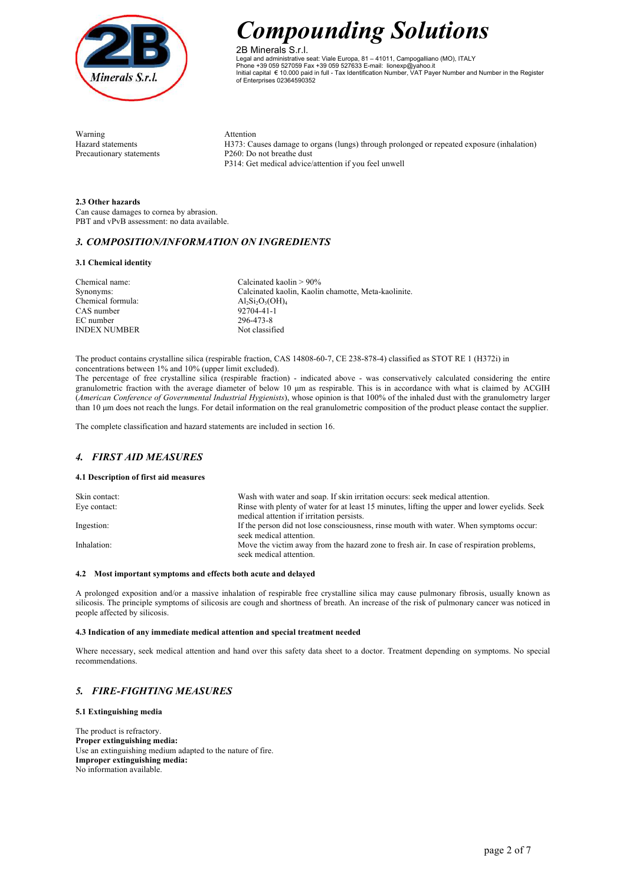

2B Minerals S.r.l. Legal and administrative seat: Viale Europa, 81 – 41011, Campogalliano (MO), ITALY Phone +39 059 527059 Fax +39 059 527633 E-mail: lionexp@yahoo.it Initial capital € 10.000 paid in full - Tax Identification Number, VAT Payer Number and Number in the Register of Enterprises 02364590352

Warning **Attention** Precautionary statements P260: Do not breathe dust

Hazard statements H373: Causes damage to organs (lungs) through prolonged or repeated exposure (inhalation) P314: Get medical advice/attention if you feel unwell

**2.3 Other hazards** Can cause damages to cornea by abrasion. PBT and vPvB assessment: no data available.

## *3. COMPOSITION/INFORMATION ON INGREDIENTS*

## **3.1 Chemical identity**

Chemical name: Synonyms: Chemical formula: CAS number EC number INDEX NUMBER Calcinated kaolin > 90% Calcinated kaolin, Kaolin chamotte, Meta-kaolinite.  $Al_2Si_2O_5(OH)_4$ 92704-41-1 296-473-8 Not classified

The product contains crystalline silica (respirable fraction, CAS 14808-60-7, CE 238-878-4) classified as STOT RE 1 (H372i) in concentrations between 1% and 10% (upper limit excluded).

The percentage of free crystalline silica (respirable fraction) - indicated above - was conservatively calculated considering the entire granulometric fraction with the average diameter of below 10  $\mu$ m as respirable. This is in accordance with what is claimed by ACGIH (*American Conference of Governmental Industrial Hygienists*), whose opinion is that 100% of the inhaled dust with the granulometry larger than 10 µm does not reach the lungs. For detail information on the real granulometric composition of the product please contact the supplier.

The complete classification and hazard statements are included in section 16.

## *4. FIRST AID MEASURES*

## **4.1 Description of first aid measures**

| Skin contact: | Wash with water and soap. If skin irritation occurs: seek medical attention.                                        |
|---------------|---------------------------------------------------------------------------------------------------------------------|
| Eye contact:  | Rinse with plenty of water for at least 15 minutes, lifting the upper and lower evelids. Seek                       |
|               | medical attention if irritation persists.                                                                           |
| Ingestion:    | If the person did not lose consciousness, rinse mouth with water. When symptoms occur:                              |
|               | seek medical attention.                                                                                             |
| Inhalation:   | Move the victim away from the hazard zone to fresh air. In case of respiration problems,<br>seek medical attention. |

## **4.2 Most important symptoms and effects both acute and delayed**

A prolonged exposition and/or a massive inhalation of respirable free crystalline silica may cause pulmonary fibrosis, usually known as silicosis. The principle symptoms of silicosis are cough and shortness of breath. An increase of the risk of pulmonary cancer was noticed in people affected by silicosis.

### **4.3 Indication of any immediate medical attention and special treatment needed**

Where necessary, seek medical attention and hand over this safety data sheet to a doctor. Treatment depending on symptoms. No special recommendations.

## *5. FIRE-FIGHTING MEASURES*

### **5.1 Extinguishing media**

The product is refractory. **Proper extinguishing media:** Use an extinguishing medium adapted to the nature of fire. **Improper extinguishing media:** No information available.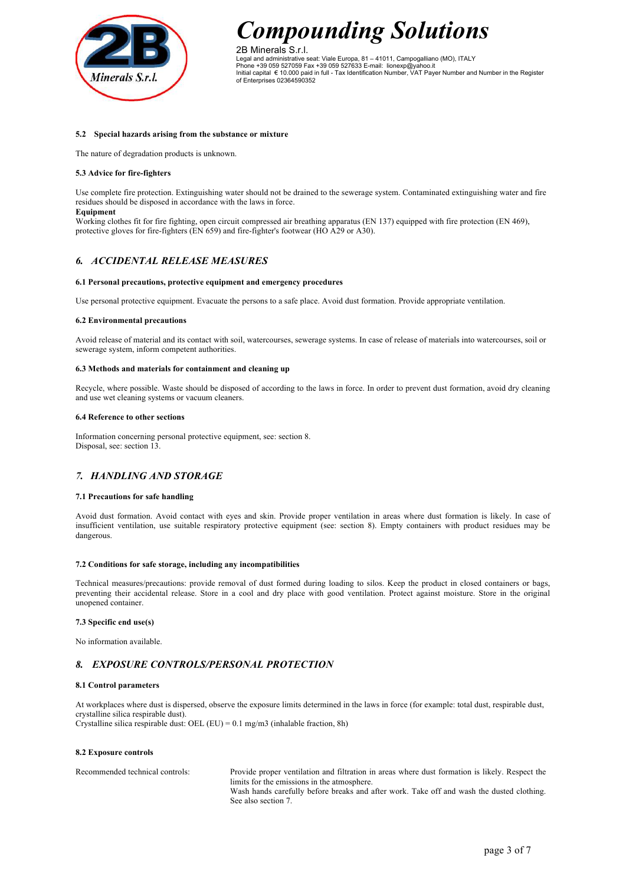

2B Minerals S.r.l. Legal and administrative seat: Viale Europa, 81 – 41011, Campogalliano (MO), ITALY Phone +39 059 527059 Fax +39 059 527633 E-mail: lionexp@yahoo.it Initial capital € 10.000 paid in full - Tax Identification Number, VAT Payer Number and Number in the Register of Enterprises 02364590352

## **5.2 Special hazards arising from the substance or mixture**

The nature of degradation products is unknown.

### **5.3 Advice for fire-fighters**

Use complete fire protection. Extinguishing water should not be drained to the sewerage system. Contaminated extinguishing water and fire residues should be disposed in accordance with the laws in force.

**Equipment**

Working clothes fit for fire fighting, open circuit compressed air breathing apparatus (EN 137) equipped with fire protection (EN 469), protective gloves for fire-fighters (EN 659) and fire-fighter's footwear (HO A29 or A30).

## *6. ACCIDENTAL RELEASE MEASURES*

### **6.1 Personal precautions, protective equipment and emergency procedures**

Use personal protective equipment. Evacuate the persons to a safe place. Avoid dust formation. Provide appropriate ventilation.

### **6.2 Environmental precautions**

Avoid release of material and its contact with soil, watercourses, sewerage systems. In case of release of materials into watercourses, soil or sewerage system, inform competent authorities.

#### **6.3 Methods and materials for containment and cleaning up**

Recycle, where possible. Waste should be disposed of according to the laws in force. In order to prevent dust formation, avoid dry cleaning and use wet cleaning systems or vacuum cleaners.

### **6.4 Reference to other sections**

Information concerning personal protective equipment, see: section 8. Disposal, see: section 13.

# *7. HANDLING AND STORAGE*

### **7.1 Precautions for safe handling**

Avoid dust formation. Avoid contact with eyes and skin. Provide proper ventilation in areas where dust formation is likely. In case of insufficient ventilation, use suitable respiratory protective equipment (see: section 8). Empty containers with product residues may be dangerous.

### **7.2 Conditions for safe storage, including any incompatibilities**

Technical measures/precautions: provide removal of dust formed during loading to silos. Keep the product in closed containers or bags, preventing their accidental release. Store in a cool and dry place with good ventilation. Protect against moisture. Store in the original unopened container.

### **7.3 Specific end use(s)**

No information available.

## *8. EXPOSURE CONTROLS/PERSONAL PROTECTION*

### **8.1 Control parameters**

At workplaces where dust is dispersed, observe the exposure limits determined in the laws in force (for example: total dust, respirable dust, crystalline silica respirable dust). Crystalline silica respirable dust: OEL (EU) =  $0.1$  mg/m3 (inhalable fraction, 8h)

### **8.2 Exposure controls**

Recommended technical controls: Provide proper ventilation and filtration in areas where dust formation is likely. Respect the limits for the emissions in the atmosphere. Wash hands carefully before breaks and after work. Take off and wash the dusted clothing. See also section 7.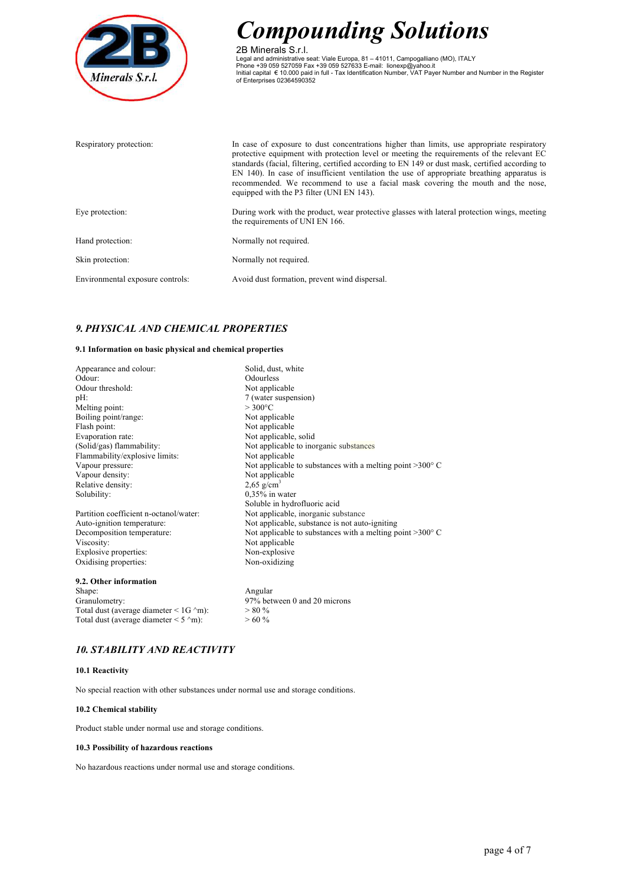

2B Minerals S.r.l. Legal and administrative seat: Viale Europa, 81 – 41011, Campogalliano (MO), ITALY<br>Phone +39 059 527059 Fax +39 059 527633 E-mail: lionexp@yahoo.it<br>Initial capital € 10.000 paid in full - Tax Identification Number, VAT

| Respiratory protection:          | In case of exposure to dust concentrations higher than limits, use appropriate respiratory<br>protective equipment with protection level or meeting the requirements of the relevant EC<br>standards (facial, filtering, certified according to EN 149 or dust mask, certified according to<br>EN 140). In case of insufficient ventilation the use of appropriate breathing apparatus is<br>recommended. We recommend to use a facial mask covering the mouth and the nose,<br>equipped with the P3 filter (UNI EN 143). |
|----------------------------------|---------------------------------------------------------------------------------------------------------------------------------------------------------------------------------------------------------------------------------------------------------------------------------------------------------------------------------------------------------------------------------------------------------------------------------------------------------------------------------------------------------------------------|
| Eye protection:                  | During work with the product, wear protective glasses with lateral protection wings, meeting<br>the requirements of UNI EN 166.                                                                                                                                                                                                                                                                                                                                                                                           |
| Hand protection:                 | Normally not required.                                                                                                                                                                                                                                                                                                                                                                                                                                                                                                    |
| Skin protection:                 | Normally not required.                                                                                                                                                                                                                                                                                                                                                                                                                                                                                                    |
| Environmental exposure controls: | Avoid dust formation, prevent wind dispersal.                                                                                                                                                                                                                                                                                                                                                                                                                                                                             |

# *9. PHYSICAL AND CHEMICAL PROPERTIES*

## **9.1 Information on basic physical and chemical properties**

| Appearance and colour:                              | Solid, dust, white                                                 |
|-----------------------------------------------------|--------------------------------------------------------------------|
| Odour:                                              | Odourless                                                          |
| Odour threshold:                                    | Not applicable                                                     |
| pH:                                                 | 7 (water suspension)                                               |
| Melting point:                                      | $>300^{\circ}$ C                                                   |
| Boiling point/range:                                | Not applicable                                                     |
| Flash point:                                        | Not applicable                                                     |
| Evaporation rate:                                   | Not applicable, solid                                              |
| (Solid/gas) flammability:                           | Not applicable to inorganic substances                             |
| Flammability/explosive limits:                      | Not applicable                                                     |
| Vapour pressure:                                    | Not applicable to substances with a melting point $>300^{\circ}$ C |
| Vapour density:                                     | Not applicable                                                     |
| Relative density:                                   | $2,65$ g/cm <sup>3</sup>                                           |
| Solubility:                                         | $0.35\%$ in water                                                  |
|                                                     | Soluble in hydrofluoric acid                                       |
| Partition coefficient n-octanol/water:              | Not applicable, inorganic substance                                |
| Auto-ignition temperature:                          | Not applicable, substance is not auto-igniting                     |
| Decomposition temperature:                          | Not applicable to substances with a melting point $>300^{\circ}$ C |
| Viscosity:                                          | Not applicable                                                     |
| Explosive properties:                               | Non-explosive                                                      |
| Oxidising properties:                               | Non-oxidizing                                                      |
| 9.2. Other information                              |                                                                    |
| Shape:                                              | Angular                                                            |
| Granulometry:                                       | 97% between 0 and 20 microns                                       |
| Total dust (average diameter $\leq 1$ G $\sim$ m):  | $> 80 \%$                                                          |
| Total dust (average diameter $\leq$ 5 $\degree$ m): | $>60\%$                                                            |

# *10. STABILITY AND REACTIVITY*

## **10.1 Reactivity**

No special reaction with other substances under normal use and storage conditions.

### **10.2 Chemical stability**

Product stable under normal use and storage conditions.

### **10.3 Possibility of hazardous reactions**

No hazardous reactions under normal use and storage conditions.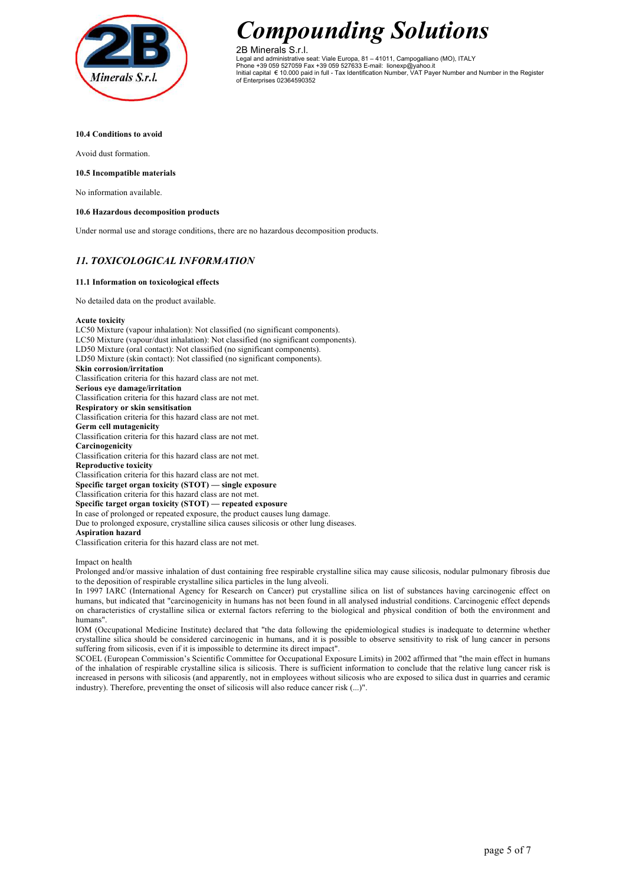

2B Minerals S.r.l. Legal and administrative seat: Viale Europa, 81 – 41011, Campogalliano (MO), ITALY Phone +39 059 527059 Fax +39 059 527633 E-mail: lionexp@yahoo.it Initial capital € 10.000 paid in full - Tax Identification Number, VAT Payer Number and Number in the Register of Enterprises 02364590352

### **10.4 Conditions to avoid**

Avoid dust formation.

## **10.5 Incompatible materials**

No information available.

## **10.6 Hazardous decomposition products**

Under normal use and storage conditions, there are no hazardous decomposition products.

# *11. TOXICOLOGICAL INFORMATION*

## **11.1 Information on toxicological effects**

No detailed data on the product available.

### **Acute toxicity**

LC50 Mixture (vapour inhalation): Not classified (no significant components). LC50 Mixture (vapour/dust inhalation): Not classified (no significant components). LD50 Mixture (oral contact): Not classified (no significant components). LD50 Mixture (skin contact): Not classified (no significant components). **Skin corrosion/irritation** Classification criteria for this hazard class are not met. **Serious eye damage/irritation** Classification criteria for this hazard class are not met. **Respiratory or skin sensitisation** Classification criteria for this hazard class are not met. **Germ cell mutagenicity** Classification criteria for this hazard class are not met. **Carcinogenicity** Classification criteria for this hazard class are not met. **Reproductive toxicity** Classification criteria for this hazard class are not met. **Specific target organ toxicity (STOT) — single exposure** Classification criteria for this hazard class are not met. **Specific target organ toxicity (STOT) — repeated exposure** In case of prolonged or repeated exposure, the product causes lung damage. Due to prolonged exposure, crystalline silica causes silicosis or other lung diseases. **Aspiration hazard** Classification criteria for this hazard class are not met.

Impact on health

Prolonged and/or massive inhalation of dust containing free respirable crystalline silica may cause silicosis, nodular pulmonary fibrosis due to the deposition of respirable crystalline silica particles in the lung alveoli.

In 1997 IARC (International Agency for Research on Cancer) put crystalline silica on list of substances having carcinogenic effect on humans, but indicated that "carcinogenicity in humans has not been found in all analysed industrial conditions. Carcinogenic effect depends on characteristics of crystalline silica or external factors referring to the biological and physical condition of both the environment and humans".

IOM (Occupational Medicine Institute) declared that "the data following the epidemiological studies is inadequate to determine whether crystalline silica should be considered carcinogenic in humans, and it is possible to observe sensitivity to risk of lung cancer in persons suffering from silicosis, even if it is impossible to determine its direct impact".

SCOEL (European Commission's Scientific Committee for Occupational Exposure Limits) in 2002 affirmed that "the main effect in humans of the inhalation of respirable crystalline silica is silicosis. There is sufficient information to conclude that the relative lung cancer risk is increased in persons with silicosis (and apparently, not in employees without silicosis who are exposed to silica dust in quarries and ceramic industry). Therefore, preventing the onset of silicosis will also reduce cancer risk (...)".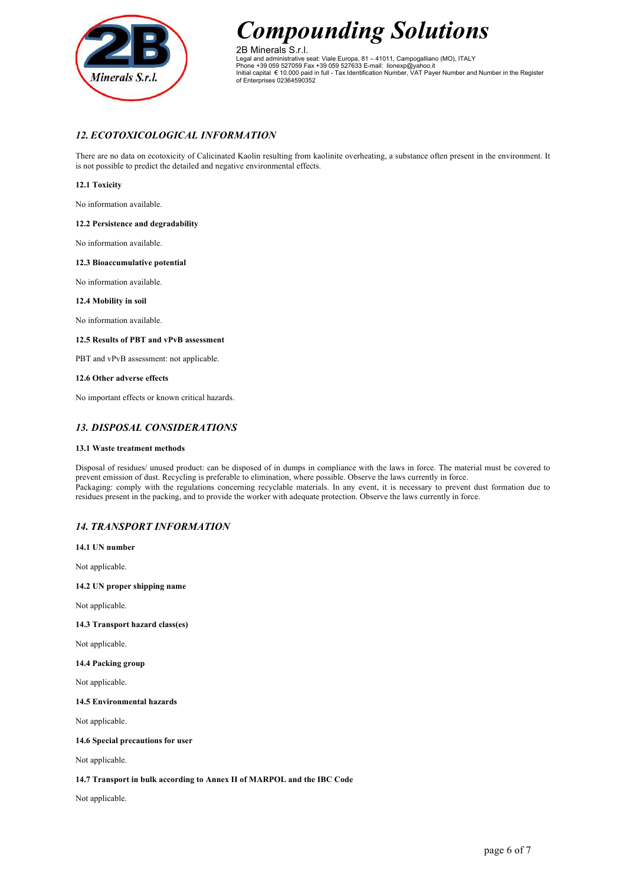

2B Minerals S.r.l. Legal and administrative seat: Viale Europa, 81 – 41011, Campogalliano (MO), ITALY Phone +39 059 527059 Fax +39 059 527633 E-mail: lionexp@yahoo.it Initial capital € 10.000 paid in full - Tax Identification Number, VAT Payer Number and Number in the Register of Enterprises 02364590352

# *12. ECOTOXICOLOGICAL INFORMATION*

There are no data on ecotoxicity of Calicinated Kaolin resulting from kaolinite overheating, a substance often present in the environment. It is not possible to predict the detailed and negative environmental effects.

## **12.1 Toxicity**

No information available.

## **12.2 Persistence and degradability**

No information available.

## **12.3 Bioaccumulative potential**

No information available.

## **12.4 Mobility in soil**

No information available.

## **12.5 Results of PBT and vPvB assessment**

PBT and vPvB assessment: not applicable.

## **12.6 Other adverse effects**

No important effects or known critical hazards.

## *13. DISPOSAL CONSIDERATIONS*

## **13.1 Waste treatment methods**

Disposal of residues/ unused product: can be disposed of in dumps in compliance with the laws in force. The material must be covered to prevent emission of dust. Recycling is preferable to elimination, where possible. Observe the laws currently in force. Packaging: comply with the regulations concerning recyclable materials. In any event, it is necessary to prevent dust formation due to residues present in the packing, and to provide the worker with adequate protection. Observe the laws currently in force.

# *14. TRANSPORT INFORMATION*

**14.1 UN number**

Not applicable.

**14.2 UN proper shipping name**

Not applicable.

## **14.3 Transport hazard class(es)**

Not applicable.

**14.4 Packing group**

Not applicable.

**14.5 Environmental hazards**

Not applicable.

## **14.6 Special precautions for user**

Not applicable.

## **14.7 Transport in bulk according to Annex II of MARPOL and the IBC Code**

Not applicable.